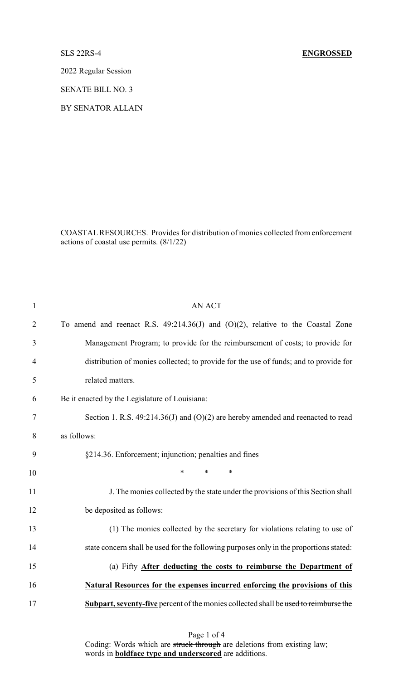## SLS 22RS-4 **ENGROSSED**

2022 Regular Session

SENATE BILL NO. 3

BY SENATOR ALLAIN

COASTALRESOURCES. Provides for distribution of monies collected from enforcement actions of coastal use permits. (8/1/22)

| $\mathbf{1}$   | <b>AN ACT</b>                                                                          |
|----------------|----------------------------------------------------------------------------------------|
| $\overline{2}$ | To amend and reenact R.S. $49:214.36(J)$ and $(O)(2)$ , relative to the Coastal Zone   |
| 3              | Management Program; to provide for the reimbursement of costs; to provide for          |
| $\overline{4}$ | distribution of monies collected; to provide for the use of funds; and to provide for  |
| 5              | related matters.                                                                       |
| 6              | Be it enacted by the Legislature of Louisiana:                                         |
| 7              | Section 1. R.S. $49:214.36(J)$ and $(O)(2)$ are hereby amended and reenacted to read   |
| 8              | as follows:                                                                            |
| 9              | §214.36. Enforcement; injunction; penalties and fines                                  |
| 10             | $\ast$<br>$\ast$<br>$\ast$                                                             |
| 11             | J. The monies collected by the state under the provisions of this Section shall        |
| 12             | be deposited as follows:                                                               |
| 13             | (1) The monies collected by the secretary for violations relating to use of            |
| 14             | state concern shall be used for the following purposes only in the proportions stated: |
| 15             | (a) Fifty After deducting the costs to reimburse the Department of                     |
| 16             | Natural Resources for the expenses incurred enforcing the provisions of this           |
| 17             | Subpart, seventy-five percent of the monies collected shall be used to reimburse the   |
|                |                                                                                        |

Page 1 of 4 Coding: Words which are struck through are deletions from existing law; words in **boldface type and underscored** are additions.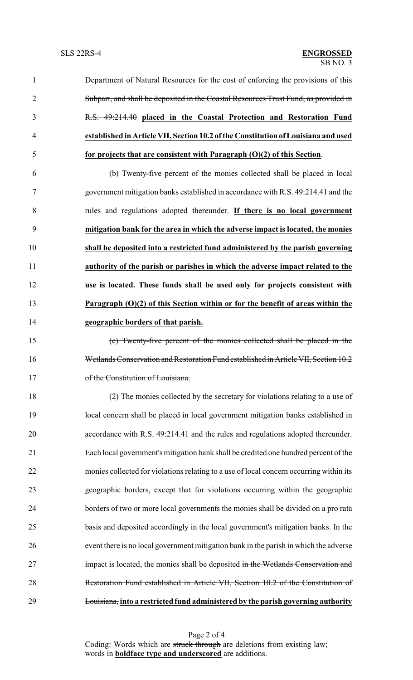- 1 Department of Natural Resources for the cost of enforcing the provisions of this Subpart, and shall be deposited in the Coastal Resources Trust Fund, as provided in R.S. 49:214.40 **placed in the Coastal Protection and Restoration Fund established in Article VII, Section 10.2 ofthe Constitution ofLouisiana and used for projects that are consistent with Paragraph (O)(2) of this Section**. (b) Twenty-five percent of the monies collected shall be placed in local government mitigation banks established in accordance with R.S. 49:214.41 and the rules and regulations adopted thereunder. **If there is no local government mitigation bank for the area in which the adverse impact is located, the monies**
- **shall be deposited into a restricted fund administered by the parish governing authority of the parish or parishes in which the adverse impact related to the use is located. These funds shall be used only for projects consistent with Paragraph (O)(2) of this Section within or for the benefit of areas within the geographic borders of that parish.**
- (c) Twenty-five percent of the monies collected shall be placed in the Wetlands Conservation and Restoration Fund established in Article VII, Section 10.2 17 of the Constitution of Louisiana.
- (2) The monies collected by the secretary for violations relating to a use of local concern shall be placed in local government mitigation banks established in accordance with R.S. 49:214.41 and the rules and regulations adopted thereunder. Each local government's mitigation bank shall be credited one hundred percent of the monies collected for violations relating to a use of local concern occurring within its geographic borders, except that for violations occurring within the geographic borders of two or more local governments the monies shall be divided on a pro rata basis and deposited accordingly in the local government's mitigation banks. In the event there is no local government mitigation bank in the parish in which the adverse 27 impact is located, the monies shall be deposited in the Wetlands Conservation and Restoration Fund established in Article VII, Section 10.2 of the Constitution of Louisiana, **into a restricted fund administered by the parish governing authority**

Page 2 of 4 Coding: Words which are struck through are deletions from existing law; words in **boldface type and underscored** are additions.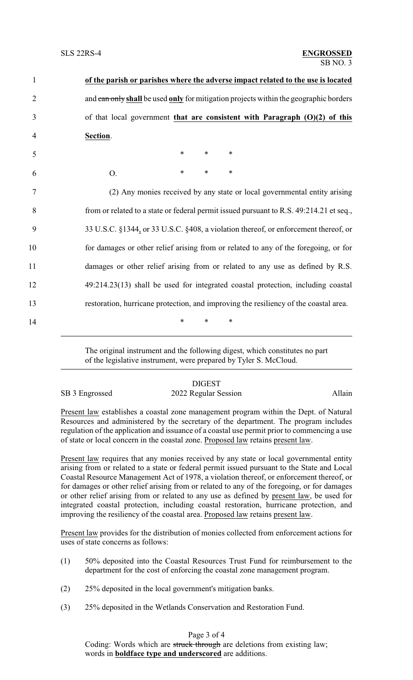| $\mathbf{1}$   | of the parish or parishes where the adverse impact related to the use is located        |
|----------------|-----------------------------------------------------------------------------------------|
| $\overline{2}$ | and can only shall be used only for mitigation projects within the geographic borders   |
| 3              | of that local government that are consistent with Paragraph $(O)(2)$ of this            |
| $\overline{4}$ | Section.                                                                                |
| 5              | $\ast$<br>$*$<br>$\ast$                                                                 |
| 6              | $\ast$<br>$\ast$<br>$\ast$<br>O.                                                        |
| 7              | (2) Any monies received by any state or local governmental entity arising               |
| 8              | from or related to a state or federal permit issued pursuant to R.S. 49:214.21 et seq., |
| 9              | 33 U.S.C. §1344, or 33 U.S.C. §408, a violation thereof, or enforcement thereof, or     |
| 10             | for damages or other relief arising from or related to any of the foregoing, or for     |
| 11             | damages or other relief arising from or related to any use as defined by R.S.           |
| 12             | 49:214.23(13) shall be used for integrated coastal protection, including coastal        |
| 13             | restoration, hurricane protection, and improving the resiliency of the coastal area.    |
| 14             | *<br>∗<br>∗                                                                             |
|                |                                                                                         |

The original instrument and the following digest, which constitutes no part of the legislative instrument, were prepared by Tyler S. McCloud.

## **DIGEST**

SB 3 Engrossed 2022 Regular Session Allain

Present law establishes a coastal zone management program within the Dept. of Natural Resources and administered by the secretary of the department. The program includes regulation of the application and issuance of a coastal use permit prior to commencing a use of state or local concern in the coastal zone. Proposed law retains present law.

Present law requires that any monies received by any state or local governmental entity arising from or related to a state or federal permit issued pursuant to the State and Local Coastal Resource Management Act of 1978, a violation thereof, or enforcement thereof, or for damages or other relief arising from or related to any of the foregoing, or for damages or other relief arising from or related to any use as defined by present law, be used for integrated coastal protection, including coastal restoration, hurricane protection, and improving the resiliency of the coastal area. Proposed law retains present law.

Present law provides for the distribution of monies collected from enforcement actions for uses of state concerns as follows:

- (1) 50% deposited into the Coastal Resources Trust Fund for reimbursement to the department for the cost of enforcing the coastal zone management program.
- (2) 25% deposited in the local government's mitigation banks.
- (3) 25% deposited in the Wetlands Conservation and Restoration Fund.

Page 3 of 4

Coding: Words which are struck through are deletions from existing law; words in **boldface type and underscored** are additions.